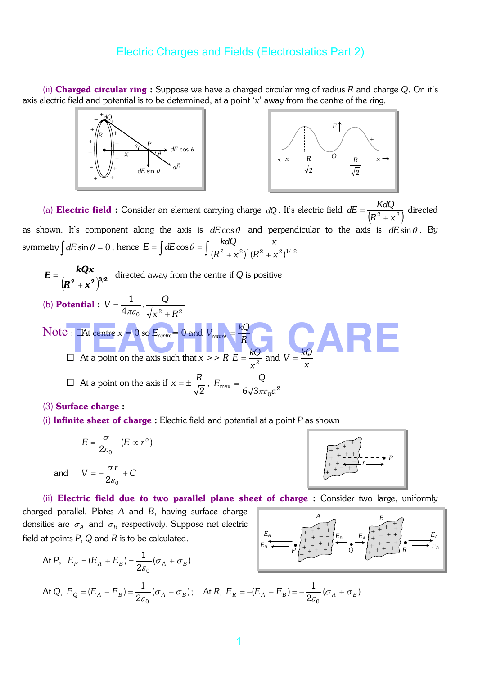(ii) Charged circular ring : Suppose we have a charged circular ring of radius *R* and charge *Q*. On it's axis electric field and potential is to be determined, at a point '*x*' away from the centre of the ring.



(a) **Electric field :** Consider an element carrying charge *dQ* . It's electric field  $dE = \frac{R^2 + x^2}{(R^2 + x^2)}$  $dE = \frac{KdQ}{\sqrt{R^2}}$ +  $=\frac{1}{\sqrt{2}}\frac{d\omega}{\sqrt{2}}$  directed as shown. It's component along the axis is  $dE \cos \theta$  and perpendicular to the axis is  $dE \sin \theta$ . By symmetry  $\int dE \sin \theta = 0$ , hence  $E = \int dE \cos \theta = \int \frac{\kappa dQ}{(R^2 + x^2)} \cdot \frac{x}{(R^2 + x^2)^{1/2}}$ .  $(R^{2} + x^{2})$ cos  $R^2 + x$ *x*  $R^2 + x$  $E = \int dE \cos \theta = \int \frac{k dQ}{\sqrt{R^2}}$  $+x^2$ )  $(R^2 +$  $=\int dE \cos \theta = \int$ 

$$
E = \frac{kQx}{(R^2 + x^2)^{3/2}}
$$
 directed away from the centre if Q is positive  
(b) Potential :  $V = \frac{1}{4\pi\varepsilon_0} \cdot \frac{Q}{\sqrt{x^2 + R^2}}$   
Note : **At** centre  $x = 0$  so  $E_{centre} = 0$  and  $V_{centre} = \frac{kQ}{R}$   
 $\square$  At a point on the axis such that  $x >> R E = \frac{kQ}{x^2}$  and  $V = \frac{kQ}{x}$   
 $\square$  At a point on the axis if  $x = \pm \frac{R}{\sqrt{2}}$ ,  $E_{max} = \frac{Q}{6\sqrt{3}\pi\varepsilon_0 a^2}$ 

(3) Surface charge :

(i) Infinite sheet of charge : Electric field and potential at a point *P* as shown

$$
E=\frac{\sigma}{2\varepsilon_0} (E\propto r^{\circ})
$$

and 
$$
V = -\frac{\sigma r}{2\varepsilon_0} + C
$$

(ii) Electric field due to two parallel plane sheet of charge : Consider two large, uniformly

charged parallel. Plates *A* and *B*, having surface charge densities are  $\sigma_{\rm A}$  and  $\sigma_{\rm B}$  respectively. Suppose net electric field at points *P*, *Q* and *R* is to be calculated.

At P, 
$$
E_P = (E_A + E_B) = \frac{1}{2\varepsilon_0} (\sigma_A + \sigma_B)
$$
  
\nAt Q,  $E_Q = (E_A - E_B) = \frac{1}{2\varepsilon_0} (\sigma_A - \sigma_B)$ ; At R,  $E_R = -(E_A + E_B) = -\frac{1}{2\varepsilon_0} (\sigma_A + \sigma_B)$ 



•

 $E_B$   $E_A$   $\Big|_+^+$  +  $+$   $+$   $\Big|_+^+$   $E_A$ 

+ + +

+ + + +

*B*

+ + + +

+ +  $+ +$ 

*E<sup>B</sup>*

+ + + +  $\overline{+}$ + + +

•

*E<sup>A</sup>*

+ +

+

*A*

 $+\leftrightarrow$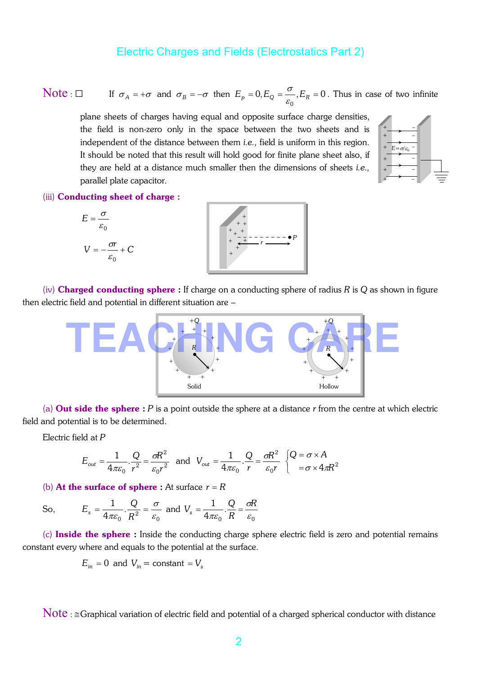Note :  $\Box$  If  $\sigma_A = +\sigma$  and  $\sigma_B = -\sigma$  then  $E_p = 0, E_Q = \frac{\sigma}{a}, E_R = 0$ 0  $E_p = 0, E_Q = \frac{\sigma}{\varepsilon_0}, E_R =$  $\sigma$ ,  $E_R$  = 0. Thus in case of two infinite

plane sheets of charges having equal and opposite surface charge densities, the field is non-zero only in the space between the two sheets and is independent of the distance between them *i.e.,* field is uniform in this region. It should be noted that this result will hold good for finite plane sheet also, if they are held at a distance much smaller then the dimensions of sheets *i.e.,* parallel plate capacitor.



#### (iii) Conducting sheet of charge :





(iv) Charged conducting sphere : If charge on a conducting sphere of radius *R* is *Q* as shown in figure then electric field and potential in different situation are –



(a) Out side the sphere : *P* is a point outside the sphere at a distance *r* from the centre at which electric field and potential is to be determined.

Electric field at *P*

$$
E_{out} = \frac{1}{4\pi\varepsilon_0} \cdot \frac{Q}{r^2} = \frac{\sigma R^2}{\varepsilon_0 r^2} \text{ and } V_{out} = \frac{1}{4\pi\varepsilon_0} \cdot \frac{Q}{r} = \frac{\sigma R^2}{\varepsilon_0 r} \begin{cases} Q = \sigma \times A \\ = \sigma \times 4\pi R^2 \end{cases}
$$

(b) **At the surface of sphere**: At surface  $r = R$ 

So, 
$$
E_s = \frac{1}{4\pi\varepsilon_0} \cdot \frac{Q}{R^2} = \frac{\sigma}{\varepsilon_0}
$$
 and  $V_s = \frac{1}{4\pi\varepsilon_0} \cdot \frac{Q}{R} = \frac{\sigma R}{\varepsilon_0}$ 

(c) Inside the sphere : Inside the conducting charge sphere electric field is zero and potential remains constant every where and equals to the potential at the surface.

$$
E_{in} = 0
$$
 and  $V_{in} = \text{constant} = V_s$ 

Note : ≅Graphical variation of electric field and potential of a charged spherical conductor with distance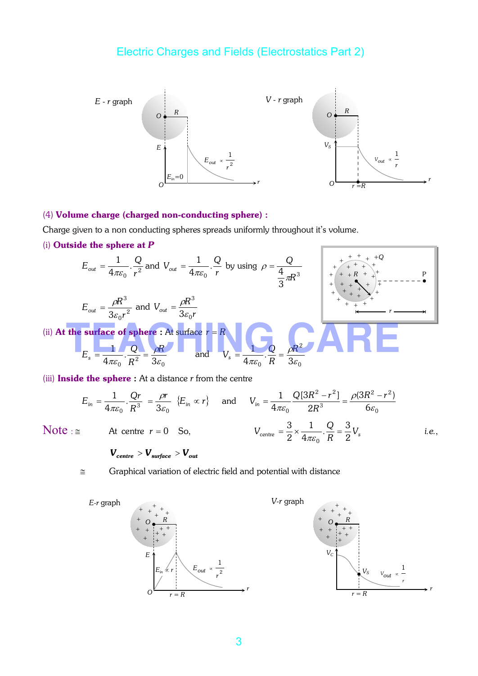

#### (4) Volume charge (charged non-conducting sphere) :

Charge given to a non conducting spheres spreads uniformly throughout it's volume.

(i) Outside the sphere at *P*

$$
E_{out} = \frac{1}{4\pi\varepsilon_0} \cdot \frac{Q}{r^2}
$$
 and  $V_{out} = \frac{1}{4\pi\varepsilon_0} \cdot \frac{Q}{r}$  by using  $\rho = \frac{Q}{\frac{4}{3}\pi R^3}$   
\n
$$
E_{out} = \frac{\rho R^3}{3\varepsilon_0 r^2}
$$
 and  $V_{out} = \frac{\rho R^3}{3\varepsilon_0 r}$   
\n(ii) At the surface of sphere : At surface  $r = R$   
\n
$$
E_s = \frac{1}{4\pi\varepsilon_0} \cdot \frac{Q}{R^2} = \frac{\rho R}{3\varepsilon_0}
$$
 and  $V_{s} = \frac{1}{4\pi\varepsilon_0} \cdot \frac{Q}{R} = \frac{\rho R^2}{3\varepsilon_0}$ 

(iii) Inside the sphere : At a distance *r* from the centre

$$
E_{in} = \frac{1}{4\pi\varepsilon_0} \cdot \frac{Qr}{R^3} = \frac{\rho r}{3\varepsilon_0} \{E_{in} \propto r\} \quad \text{and} \quad V_{in} = \frac{1}{4\pi\varepsilon_0} \frac{Q[3R^2 - r^2]}{2R^3} = \frac{\rho(3R^2 - r^2)}{6\varepsilon_0}
$$
\n
$$
\text{Note:} \cong \qquad \text{At centre } r = 0 \quad \text{So,} \qquad \qquad V_{\text{centre}} = \frac{3}{2} \times \frac{1}{4\pi\varepsilon_0} \cdot \frac{Q}{R} = \frac{3}{2} V_s \qquad \text{i.e.,}
$$

$$
\mathbf{V}_{centre} > \mathbf{V}_{surface} > \mathbf{V}_{out}
$$

≅ Graphical variation of electric field and potential with distance

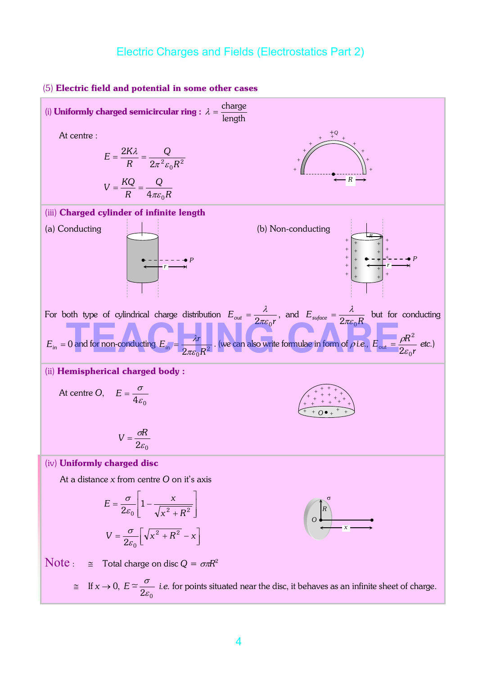

#### (5) Electric field and potential in some other cases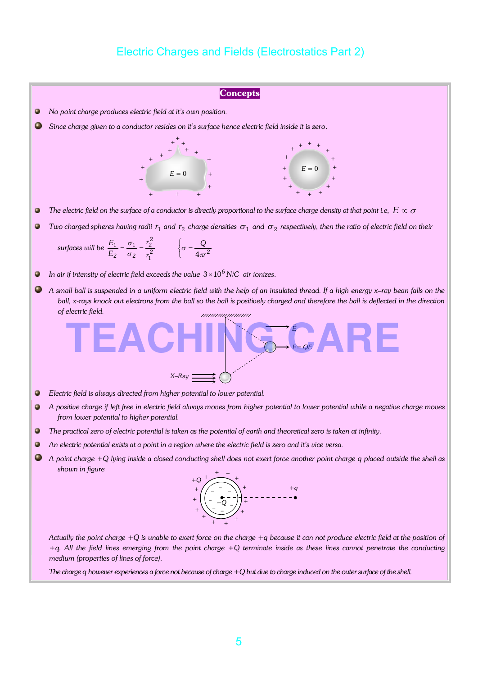

*+q. All the field lines emerging from the point charge +Q terminate inside as these lines cannot penetrate the conducting medium (properties of lines of force).*

*The charge q however experiences a force not because of charge +Q but due to charge induced on the outer surface of the shell.*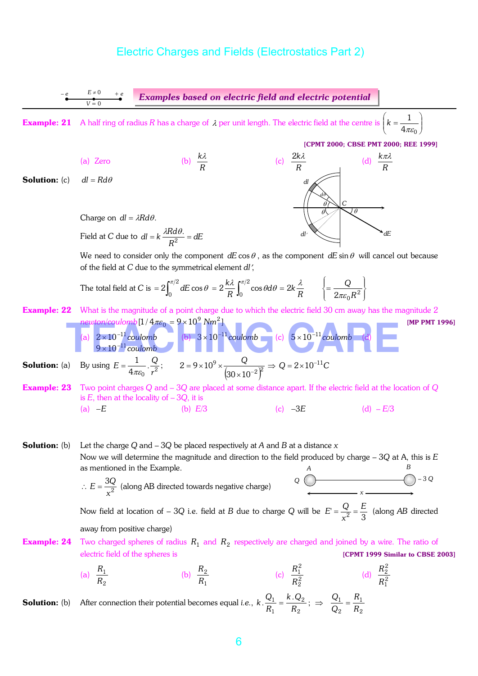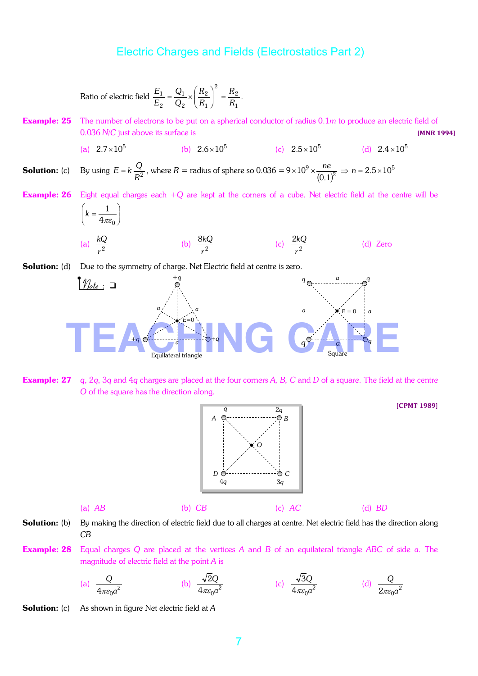Ratio of electric field 
$$
\frac{E_1}{E_2} = \frac{Q_1}{Q_2} \times \left(\frac{R_2}{R_1}\right)^2 = \frac{R_2}{R_1}.
$$

**Example: 25** The number of electrons to be put on a spherical conductor of radius 0.1*m* to produce an electric field of 0.036 *N/C* just above its surface is **matrix** is **not above** its surface is *MNR 1994* 

(a) 
$$
2.7 \times 10^5
$$
 (b)  $2.6 \times 10^5$  (c)  $2.5 \times 10^5$  (d)  $2.4 \times 10^5$ 

**Solution:** (c) By using  $E = k \frac{Q}{R^2}$ , where  $R =$  radius of sphere so 0.036 = 9 × 10<sup>9</sup> ×  $\frac{ne}{(0.1)^2}$  $0.1$  $9 \times 10^9 \times \frac{ne}{(2.1)^9} \Rightarrow n = 2.5 \times 10^5$ 

Example: 26 Eight equal charges each +*Q* are kept at the corners of a cube. Net electric field at the centre will be  $\left| \frac{1}{\cdot} \right|$  $\int$ 

$$
\left(k = \frac{1}{4\pi\varepsilon_0}\right)
$$
\n(a)  $\frac{kQ}{r^2}$  (b)  $\frac{8kQ}{r^2}$  (c)  $\frac{2kQ}{r^2}$  (d) Zero

**Solution:** (d) Due to the symmetry of charge. Net Electric field at centre is zero.



Example: 27 *q*, 2*q*, 3*q* and 4*q* charges are placed at the four corners *A, B, C* and *D* of a square. The field at the centre *O* of the square has the direction along.



[CPMT 1989]

Solution: (b) By making the direction of electric field due to all charges at centre. Net electric field has the direction along *CB*

Example: 28 Equal charges *Q* are placed at the vertices *A* and *B* of an equilateral triangle *ABC* of side *a*. The magnitude of electric field at the point *A* is

(a) 
$$
\frac{Q}{4\pi\varepsilon_0 a^2}
$$
 (b)  $\frac{\sqrt{2Q}}{4\pi\varepsilon_0 a^2}$  (c)  $\frac{\sqrt{3Q}}{4\pi\varepsilon_0 a^2}$  (d)  $\frac{Q}{2\pi\varepsilon_0 a^2}$ 

Solution: (c) As shown in figure Net electric field at *A*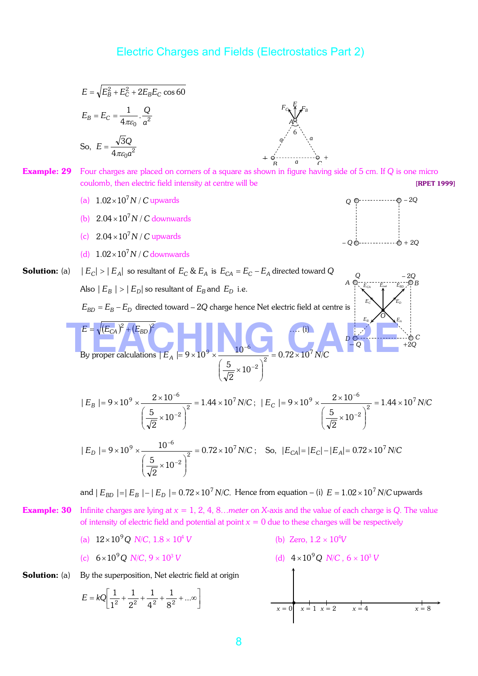$$
E = \sqrt{E_B^2 + E_C^2 + 2E_B E_C \cos 60}
$$
  
\n
$$
E_B = E_C = \frac{1}{4\pi\epsilon_0} \cdot \frac{Q}{a^2}
$$
  
\nSo,  $E = \frac{\sqrt{3}Q}{4\pi\epsilon_0 a^2}$   
\n**Example: 29** Four charges are placed on corners of a square as shown in figure having side of 5 cm. If Q is one micro  
\ncoulomb, then electric field intensity at centre will be  
\n(a)  $1.02 \times 10^7 N/C$  upwards  
\n(b)  $2.04 \times 10^7 N/C$  downwards  
\n(c)  $2.04 \times 10^7 N/C$  downwards  
\n(d)  $1.02 \times 10^7 N/C$  downwards  
\n(e)  $2.04 \times 10^7 N/C$  downwards  
\n  
\n**Solution:** (a)  $|E_C| > |E_D|$  so resultant of  $E_C$  &  $E_A$  is  $E_{CA} = E_C - E_A$  directed toward Q  
\nAlso  $|E_B| > |E_D|$  so resultant of  $E_B$  and  $E_D$  i.e.  
\n $E_{BD} = E_B - E_D$  directed toward  $-2Q$  change hence Net electric field at centre is  
\n
$$
\frac{E}{\sqrt{E_C}} = \sqrt{E_{CA}} \int^{\infty} (E_{BD})^2
$$
  
\nBy proper calculations  $|E_A| = 9 \times 10^9 \times \frac{2 \times 10^{-6}}{\left(\frac{5}{\sqrt{2}} \times 10^{-2}\right)^2} = 1.44 \times 10^7 N/C$ ;  $|E_C| = 9 \times 10^9 \times \frac{2 \times 10^{-6}}{\left(\frac{5}{\sqrt{2}} \times 10^{-2}\right)^2} = 1.44 \times 10^7 N/C$   
\nand  $|E_{BD}| = |E_B| - |E_D| = 0.72 \times 10^7 N/C$ . Hence from equation – (i)  $E = 1.02 \times 10^7 N/C$  upwards  
\n
$$
\frac{5}{\sqrt{10 \times 10^7}} \times 10^{-2} = 0.72 \times 10^7 N/C
$$
. Hence from equation – (i)  $E = 1.02 \times 10^7 N/C$ 

**Solution:** (a) By the superposition, Net electric field at origin

$$
E = kQ \left[ \frac{1}{1^2} + \frac{1}{2^2} + \frac{1}{4^2} + \frac{1}{8^2} + \dots \infty \right]
$$

**Solution:**

\n(a) By the superposition, Net electric field at origin

\n
$$
E = kQ \left[ \frac{1}{1^2} + \frac{1}{2^2} + \frac{1}{4^2} + \frac{1}{8^2} + \dots \infty \right]
$$
\n(d)  $4 \times 10^9 Q \text{ N/C}, 6 \times 10^3 \text{ V}$ 

\n(e)  $4 \times 10^9 Q \text{ N/C}, 6 \times 10^3 \text{ V}$ 

\n(f)  $4 \times 10^9 Q \text{ N/C}, 6 \times 10^3 \text{ V}$ 

\n(g)  $4 \times 10^9 Q \text{ N/C}, 6 \times 10^3 \text{ V}$ 

\n(h)  $4 \times 10^9 Q \text{ N/C}, 6 \times 10^3 \text{ V}$ 

\n(i)  $4 \times 10^9 Q \text{ N/C}, 6 \times 10^3 \text{ V}$ 

\n(j)  $4 \times 10^9 Q \text{ N/C}, 6 \times 10^3 \text{ V}$ 

\n(k)  $4 \times 10^9 Q \text{ N/C}, 6 \times 10^3 \text{ V}$ 

\n(l)  $4 \times 10^9 Q \text{ N/C}, 6 \times 10^3 \text{ V}$ 

\n(m)  $4 \times 10^9 Q \text{ N/C}, 6 \times 10^3 \text{ V}$ 

\n(n)  $4 \times 10^9 Q \text{ N/C}, 6 \times 10^3 \text{ V}$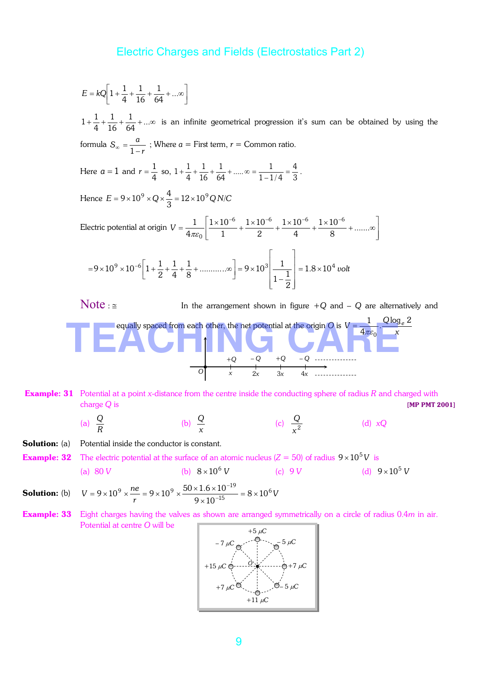$$
E = kQ \left[ 1 + \frac{1}{4} + \frac{1}{16} + \frac{1}{64} + \dots \infty \right]
$$

*r*

 $1+\frac{1}{4}+\frac{1}{16}+\frac{1}{64}+\ldots\infty$ 1 16 1 4  $1+\frac{1}{4}+\frac{1}{16}+\frac{1}{64}+\ldots$  is an infinite geometrical progression it's sum can be obtained by using the formula  $S_{\infty} = \frac{a}{1-a}$ ; Where  $a =$  First term,  $r =$  Common ratio.

Here  $a=1$  and  $r=\frac{1}{4}$  $r = \frac{1}{4}$  so,  $1 + \frac{1}{4} + \frac{1}{16} + \frac{1}{64} + \dots \infty = \frac{1}{1 - 1/4} = \frac{4}{3}$ 4  $1 - 1/4$  $\frac{1}{64} + \dots \infty = \frac{1}{1-1}$ 1 16 1 4  $1 + \frac{1}{4} + \frac{1}{16} + \frac{1}{64} + \dots \infty = \frac{1}{1 - 1/4} = \frac{4}{3}.$ 

> Hence  $E = 9 \times 10^{9} \times Q \times \frac{1}{3} = 12 \times 10^{9} Q N/C$  $= 9 \times 10^{9} \times Q \times \frac{4}{2} = 12 \times 10^{9} Q N/C$

Electric potential at origin  $\overline{\phantom{a}}$  $\overline{\phantom{a}}$  $\frac{1}{2}$  $\overline{\phantom{a}}$ L  $\mathbf{r}$ L  $=\frac{1}{\sqrt{1-x^2}}\left[\frac{1\times10^{-6}}{1+x^{-2}}+\frac{1\times10^{-6}}{1+x^{-2}}+\frac{1\times10^{-6}}{1+x^{-2}}+\dots\right]$ −<sup>6</sup> 1 ∪ 1 ∩<sup>−6</sup> 1 ∪ 1 ∩<sup>−6</sup> 1 ∪ 1 ∩<sup>−</sup>  $\frac{18}{8}$  + .......  $1\times 10$ 4  $1\times 10$ 2  $1\times 10$ 1  $1\times 10$ 4  $1 \mid 1 \times 10^{-6} \mid 1 \times 10^{-6} \mid 1 \times 10^{-6} \mid 1 \times 10^{-6}$  $\pi \varepsilon_0$ *V*

$$
=9\times10^{9}\times10^{-6}\left[1+\frac{1}{2}+\frac{1}{4}+\frac{1}{8}+\dots\infty\right]=9\times10^{3}\left[\frac{1}{1-\frac{1}{2}}\right]=1.8\times10^{4} \text{ volt}
$$

Note :  $\leq$  In the arrangement shown in figure  $+Q$  and  $-Q$  are alternatively and equally spaced from each other, the net potential at the origin O is  $V = \frac{1}{4\pi\varepsilon_0}$ .  $V = \frac{1}{4\pi\varepsilon_0} \cdot \frac{Q\log_e 2}{x}$ 1  $\pi\varepsilon_0$  $=\frac{1}{4}$ .  $\frac{\sqrt{108}e^2}{1}$ +*Q* – *Q* +*Q* – *Q x* 2*x* 3*x* 4*x O*  equally spaced from each other, the net potential at the origin O is  $V = \frac{1}{4\pi\varepsilon_0} \cdot \frac{Q \log_e 2}{x}$ 

Example: 31 Potential at a point *x*-distance from the centre inside the conducting sphere of radius *R* and charged with charge *Q* is [MP PMT 2001]

(a) 
$$
\frac{Q}{R}
$$
 (b)  $\frac{Q}{x}$  (c)  $\frac{Q}{x^2}$  (d)  $xQ$ 

**Solution:** (a) Potential inside the conductor is constant.

**Example: 32** The electric potential at the surface of an atomic nucleus ( $Z = 50$ ) of radius  $9 \times 10^5 V$  is (a) 80 *V* (b)  $8 \times 10^6$  *V*  $8 \times 10^6$  *V* (c) 9 *V* (d)  $9 \times 10^5$  *V* 

**Solution:** (b)  $V = 9 \times 10^9 \times \frac{ne}{r} = 9 \times 10^9 \times \frac{50 \times 1.6 \times 10^{-19}}{9 \times 10^{-15}} = 8 \times 10^6 V$ 15  $9 \times \frac{ne}{10} = 9 \times 10^{9} \times \frac{50 \times 1.6 \times 10^{-19}}{15} = 8 \times 10^{9}$  $9 \times 10$  $9 \times 10^{9} \times \frac{ne}{10} = 9 \times 10^{9} \times \frac{50 \times 1.6 \times 10^{-19}}{15} = 8 \times$ ×  $= 9 \times 10^{9} \times \frac{ne}{r} = 9 \times 10^{9} \times \frac{50 \times 1.6 \times 10^{9}}{9 \times 10^{-7}}$ −

**Example: 33** Eight charges having the valves as shown are arranged symmetrically on a circle of radius 0.4*m* in air. Potential at centre *O* will be

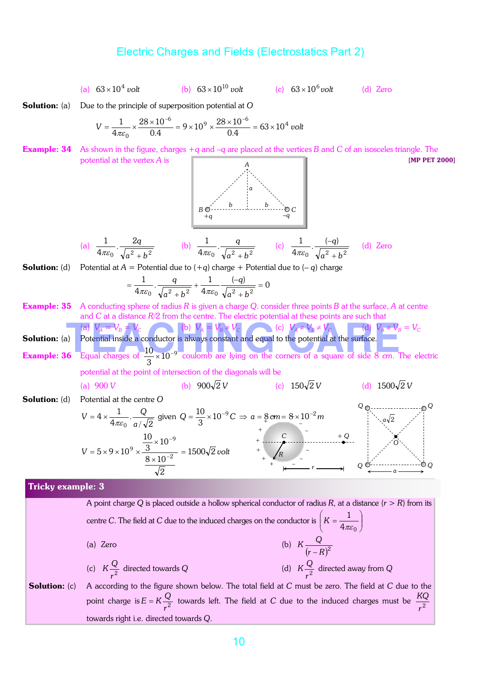(a) 
$$
63 \times 10^4
$$
 volt (b)  $63 \times 10^{10}$  volt (c)  $63 \times 10^6$  volt (d) Zero

**Solution:** (a) Due to the principle of superposition potential at O

$$
V = \frac{1}{4\pi\varepsilon_0} \times \frac{28 \times 10^{-6}}{0.4} = 9 \times 10^9 \times \frac{28 \times 10^{-6}}{0.4} = 63 \times 10^4 \text{ volt}
$$

Example: 34 As shown in the figure, charges +*q* and –*q* are placed at the vertices *B* and *C* of an isosceles triangle. The potential at the vertex *A* is **a interverted i is a contract of the vertex** *A* is **interverted i is a contract of the per 2000** 



(a) 
$$
\frac{1}{4\pi\varepsilon_0} \cdot \frac{2q}{\sqrt{a^2 + b^2}}
$$
 (b)  $\frac{1}{4\pi\varepsilon_0} \cdot \frac{q}{\sqrt{a^2 + b^2}}$  (c)  $\frac{1}{4\pi\varepsilon_0} \cdot \frac{(-q)}{\sqrt{a^2 + b^2}}$  (d) Zero

**Solution:** (d) Potential at  $A =$  Potential due to  $(+q)$  charge + Potential due to  $(-q)$  charge

$$
= \frac{1}{4\pi \varepsilon_0} \cdot \frac{q}{\sqrt{a^2 + b^2}} + \frac{1}{4\pi \varepsilon_0} \frac{(-q)}{\sqrt{a^2 + b^2}} = 0
$$

- Example: 35 A conducting sphere of radius *R* is given a charge *Q*. consider three points *B* at the surface, *A* at centre and *C* at a distance *R*/2 from the centre. The electric potential at these points are such that  $\neq V_B = V_C$
- Solution: (a) Potential inside a conductor is always constant and equal to the potential at the surface. and C at a distance  $R/2$  from the centre. The electric potential at these points are such that<br>
(a)  $V_A = V_B = V_C$ <br>
(b)  $V_A = V_B \neq V_C$ <br>
(c)  $V_A \neq V_B \neq V_C$ <br>
(d)  $V_A \neq V_B$  =<br>
Potential inside a conductor is always constant and e

**Example: 36** Equal charges of  $\frac{10}{3} \times 10^{-9}$  $\frac{10}{2}$  × 10<sup>-9</sup> coulomb are lying on the corners of a square of side 8 *cm*. The electric potential at the point of intersection of the diagonals will be

(a) 900 V (b) 
$$
900\sqrt{2}V
$$
 (c)  $150\sqrt{2}V$  (d)  $1500\sqrt{2}V$ 

Solution: (d) Potential at the centre *O*

$$
V = 4 \times \frac{1}{4\pi\epsilon_0} \cdot \frac{Q}{a/\sqrt{2}} \text{ given } Q = \frac{10}{3} \times 10^{-9} C \implies a = \frac{8}{3} \text{ cm} = 8 \times 10^{-2} \text{ m}
$$
  
\n
$$
V = 5 \times 9 \times 10^{9} \times \frac{\frac{10}{3} \times 10^{-9}}{\frac{8 \times 10^{-2}}{\sqrt{2}}} = 1500\sqrt{2} \text{ volt}
$$

#### Tricky example: 3

A point charge *Q* is placed outside a hollow spherical conductor of radius *R*, at a distance (*r* > *R*) from its centre *C*. The field at *C* due to the induced charges on the conductor is  $K = \frac{1}{4\pi\epsilon_0}$  $\bigg)$  $\setminus$  $\parallel$  $\overline{\phantom{0}}$  $K=$  $4\pi \varepsilon_0$ 1  $K = \frac{1}{4\pi\varepsilon}$ (a) Zero (b)  $K \frac{Q}{(r-R)^2}$ − (c)  $K \frac{Q}{r^2}$  $K\frac{Q}{r^2}$  directed towards *Q* (d)  $K\frac{Q}{r^2}$ *r*  $K\frac{\overline{Q}}{2}$  directed away from  $\overline{Q}$ 

Solution: (c) A according to the figure shown below. The total field at *C* must be zero. The field at *C* due to the point charge is  $E = K \frac{Q}{r^2}$  $E = K \frac{Q}{r^2}$  towards left. The field at *C* due to the induced charges must be  $\frac{KQ}{r^2}$ *KQ* towards right i.e. directed towards *Q*.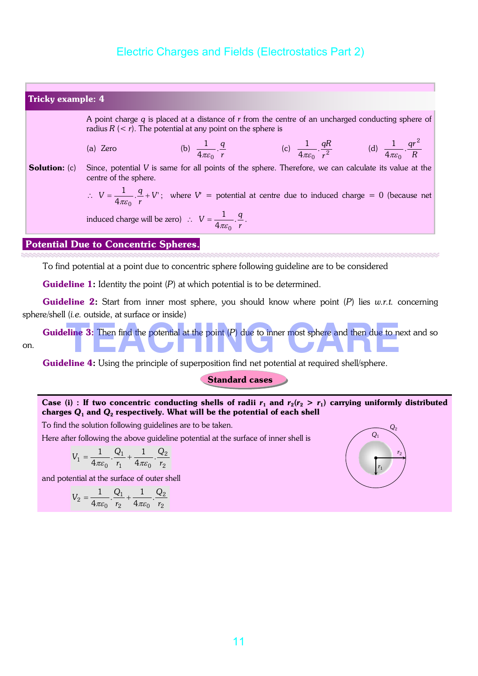

To find potential at a point due to concentric sphere following guideline are to be considered

**Guideline 1:** Identity the point (P) at which potential is to be determined.

Guideline 2: Start from inner most sphere, you should know where point (*P*) lies *w.r.t.* concerning sphere/shell (*i.e.* outside, at surface or inside)

**Guideline 3:** Then find the potential at the point (P) due to inner most sphere and then due to next and so on. (*i.e.* outside, at surface or inside)<br> **The 3:** Then find the potential at the point (*P*) due to inner most sphere and then due to next

**Guideline 4:** Using the principle of superposition find net potential at required shell/sphere.

Standard cases

#### Case (i) : If two concentric conducting shells of radii  $r_1$  and  $r_2(r_2 > r_1)$  carrying uniformly distributed charges *Q*<sup>1</sup> and *Q*<sup>2</sup> respectively. What will be the potential of each shell

To find the solution following guidelines are to be taken.

Here after following the above guideline potential at the surface of inner shell is

$$
V_1=\frac{1}{4\pi\varepsilon_0}.\frac{Q_1}{r_1}+\frac{1}{4\pi\varepsilon_0}.\frac{Q_2}{r_2}
$$

and potential at the surface of outer shell

$$
V_2 = \frac{1}{4\pi\varepsilon_0} \cdot \frac{Q_1}{r_2} + \frac{1}{4\pi\varepsilon_0} \cdot \frac{Q_2}{r_2}
$$

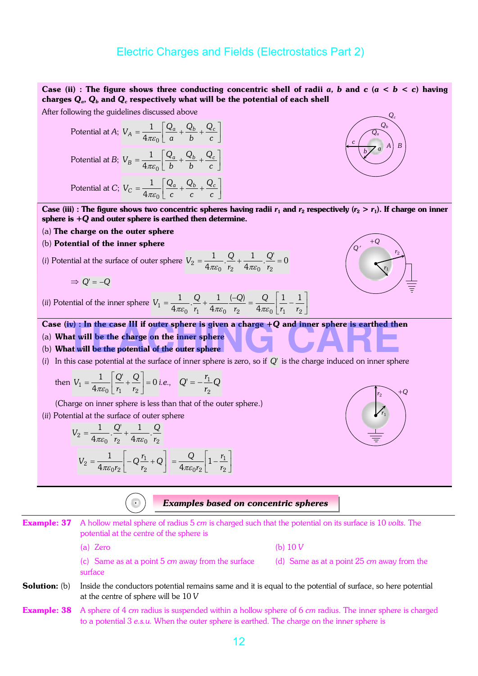#### Case (ii) : The figure shows three conducting concentric shell of radii *a*, *b* and *c* ( $a < b < c$ ) having charges *Q<sup>a</sup>* , *Q<sup>b</sup>* and *Q<sup>c</sup>* respectively what will be the potential of each shell

After following the guidelines discussed above

Potential at A; 
$$
V_A = \frac{1}{4\pi\varepsilon_0} \left[ \frac{Q_a}{a} + \frac{Q_b}{b} + \frac{Q_c}{c} \right]
$$
  
Potential at B;  $V_B = \frac{1}{4\pi\varepsilon_0} \left[ \frac{Q_a}{b} + \frac{Q_b}{b} + \frac{Q_c}{c} \right]$   
Potential at C;  $V_C = \frac{1}{4\pi\varepsilon_0} \left[ \frac{Q_a}{c} + \frac{Q_b}{c} + \frac{Q_c}{c} \right]$ 

Case (iii) : The figure shows two concentric spheres having radii  $r_1$  and  $r_2$  respectively ( $r_2 > r_1$ ). If charge on inner sphere is +*Q* and outer sphere is earthed then determine.

- (a) The charge on the outer sphere
- (b) Potential of the inner sphere

(i) Potential at the surface of outer sphere 
$$
V_2 = \frac{1}{4\pi\epsilon_0} \cdot \frac{Q}{r_2} + \frac{1}{4\pi\epsilon_0} \cdot \frac{Q'}{r_2} = 0
$$

$$
\Rightarrow Q' = -Q
$$

(*ii*) Potential of the inner sphere  $1-\overline{4\pi\varepsilon_0}\cdot\overline{r_1}$  +  $\overline{4\pi\varepsilon_0}$   $\overline{r_2}$  $(-Q)$ 4  $\frac{1}{4\pi\varepsilon_0} \cdot \frac{Q}{r_1} + \frac{1}{4\pi\varepsilon_0}$ 1 *r Q r*  $V_1 = \frac{1}{4\pi\epsilon_0} \cdot \frac{Q}{r_1} + \frac{1}{4\pi\epsilon_0} \cdot \frac{(-Q)}{r_2} = \frac{Q}{4\pi\epsilon_0} \left| \frac{1}{r_1} - \frac{1}{r_2} \right|$  $\frac{1}{2}$ J L L  $=\frac{Q}{1-\frac{1}{2}}$ 0  $\lfloor r_1 \rfloor$   $\lfloor r_2 \rfloor$ 11  $4\pi\varepsilon_0$  |  $r_1$  |  $r$ *Q* πε

# *Q*′ +*Q r*1 *r*2

*r*2

*r*1

+*Q*

*Qc Q<sup>b</sup> Q<sup>a</sup>*

 $\overline{b}$ <sup>*a*</sup>  $\overline{A}$ <sup>*a*</sup>  $\overline{B}$ 

*c* 

# Case (iv) : In the case III if outer sphere is given a charge +*Q* and inner sphere is earthed then iv) : In the case III if outer sphere is given a charge +Q and inner sphere is earthed then<br>nat will be the charge on the inner sphere<br>at will be the potential of the outer sphere

- (a) What will be the charge on the inner sphere
- (b) What will be the potential of the outer sphere
- (*i*) In this case potential at the surface of inner sphere is zero, so if *Q'* is the charge induced on inner sphere

then 
$$
V_1 = \frac{1}{4\pi\varepsilon_0} \left[ \frac{Q'}{r_1} + \frac{Q}{r_2} \right] = 0
$$
 i.e.,  $Q' = -\frac{r_1}{r_2}Q$ 

(Charge on inner sphere is less than that of the outer sphere.)

(*ii*) Potential at the surface of outer sphere

$$
V_2 = \frac{1}{4\pi\varepsilon_0} \cdot \frac{Q'}{r_2} + \frac{1}{4\pi\varepsilon_0} \cdot \frac{Q}{r_2}
$$
  

$$
V_2 = \frac{1}{4\pi\varepsilon_0 r_2} \left[ -Q\frac{r_1}{r_2} + Q \right] = \frac{Q}{4\pi\varepsilon_0 r_2} \left[ 1 - \frac{r_1}{r_2} \right]
$$

#### *Examples based on concentric spheres*

- Example: 37 A hollow metal sphere of radius 5 *cm* is charged such that the potential on its surface is 10 *volts*. The potential at the centre of the sphere is
	- (a) Zero (b) 10 *V*

- (c) Same as at a point 5 *cm* away from the surface (d) Same as at a point 25 *cm* away from the surface
- **Solution:** (b) Inside the conductors potential remains same and it is equal to the potential of surface, so here potential at the centre of sphere will be 10 *V*
- Example: 38 A sphere of 4 *cm* radius is suspended within a hollow sphere of 6 *cm* radius. The inner sphere is charged to a potential 3 *e.s.u.* When the outer sphere is earthed. The charge on the inner sphere is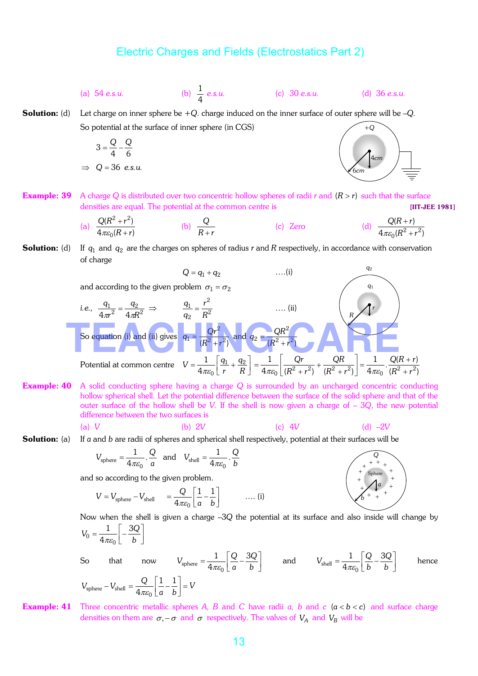(a) 54 *e.s.u.* 

4 1

*e.s.u.* (c) 30 *e.s.u.* (d) 36 *e.s.u.*

Solution: (d) Let charge on inner sphere be +*Q*. charge induced on the inner surface of outer sphere will be –*Q.* So potential at the surface of inner sphere (in CGS) +*Q*

$$
3 = \frac{Q}{4} - \frac{Q}{6}
$$

$$
\Rightarrow Q = 36 \text{ e.s.u.}
$$



**Example: 39** A charge Q is distributed over two concentric hollow spheres of radii *r* and  $(R > r)$  such that the surface densities are equal. The potential at the common centre is **EXECUTER 1981** 

(a) 
$$
\frac{Q(R^2 + r^2)}{4\pi\varepsilon_0(R + r)}
$$
 (b)  $\frac{Q}{R + r}$  (c) Zero (d)  $\frac{Q(R + r)}{4\pi\varepsilon_0(R^2 + r^2)}$ 

**Solution:** (d) If  $q_1$  and  $q_2$  are the charges on spheres of radius  $r$  and  $R$  respectively, in accordance with conservation of charge



Example: 40 A solid conducting sphere having a charge *Q* is surrounded by an uncharged concentric conducting hollow spherical shell. Let the potential difference between the surface of the solid sphere and that of the outer surface of the hollow shell be *V*. If the shell is now given a charge of – 3*Q*, the new potential difference between the two surfaces is

(a) V (b) 
$$
2V
$$
 (c)  $4V$  (d)  $-2V$ 

**Solution:** (a) If *a* and *b* are radii of spheres and spherical shell respectively, potential at their surfaces will be

$$
V_{\text{sphere}} = \frac{1}{4\pi\varepsilon_0} \cdot \frac{Q}{a} \quad \text{and} \quad V_{\text{shell}} = \frac{1}{4\pi\varepsilon_0} \cdot \frac{Q}{b}
$$

and so according to the given problem.

*b*

4

$$
V = V_{\text{sphere}} - V_{\text{shell}} = \frac{Q}{4\pi\varepsilon_0} \left[ \frac{1}{a} - \frac{1}{b} \right] \qquad \qquad \dots (i)
$$



Now when the shell is given a charge –3*Q* the potential at its surface and also inside will change by  $\overline{\phantom{a}}$  $\overline{\mathsf{L}}$  $=\frac{1}{4}$  –  $V_0 = \frac{1}{4} - \frac{3Q}{4}$ 1  $0 - \overline{4\pi \varepsilon_0}$ 

So that now 
$$
V_{sphere} = \frac{1}{4\pi\varepsilon_0} \left[ \frac{Q}{a} - \frac{3Q}{b} \right]
$$
 and  $V_{shell} = \frac{1}{4\pi\varepsilon_0} \left[ \frac{Q}{b} - \frac{3Q}{b} \right]$  hence  
 $V_{sphere} - V_{shell} = \frac{Q}{4\pi\varepsilon_0} \left[ \frac{1}{a} - \frac{1}{b} \right] = V$ 

**Example: 41** Three concentric metallic spheres A, B and C have radii  $a$ ,  $b$  and  $c$  ( $a < b < c$ ) and surface charge densities on them are  $\sigma$ , –  $\sigma$  and  $\sigma$  respectively. The valves of  $V_A$  and  $V_B$  will be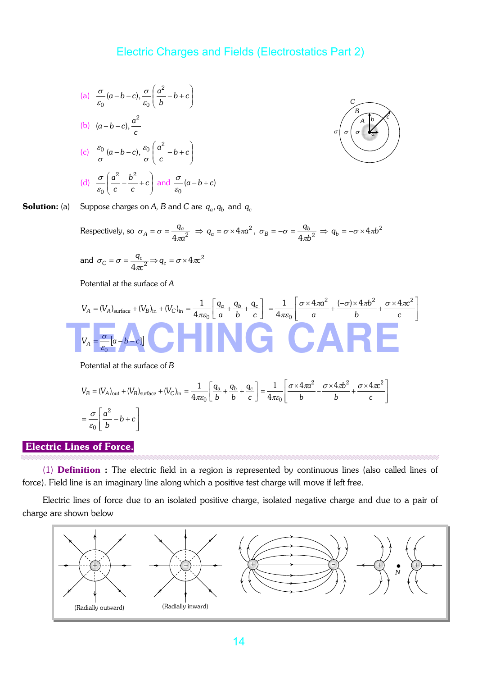(a) 
$$
\frac{\sigma}{\varepsilon_0}(a-b-c), \frac{\sigma}{\varepsilon_0}(\frac{a^2}{b}-b+c)
$$
  
\n(b)  $(a-b-c), \frac{a^2}{c}$   
\n(c)  $\frac{\varepsilon_0}{\sigma}(a-b-c), \frac{\varepsilon_0}{\sigma}(\frac{a^2}{c}-b+c)$   
\n(d)  $\frac{\sigma}{\varepsilon_0}(\frac{a^2}{c}-\frac{b^2}{c}+c)$  and  $\frac{\sigma}{\varepsilon_0}(a-b+c)$ 



 ${\bf Solution:}$  (a)  $\quad$  Suppose charges on  $A$ ,  $B$  and  $C$  are  $\ q_a,q_b$  and  $q_c$ 

Respectively, so 
$$
\sigma_A = \sigma = \frac{q_a}{4\pi a^2} \Rightarrow q_a = \sigma \times 4\pi a^2
$$
,  $\sigma_B = -\sigma = \frac{q_b}{4\pi b^2} \Rightarrow q_b = -\sigma \times 4\pi b^2$ 

and 
$$
\sigma_C = \sigma = \frac{q_c}{4\pi c^2} \Rightarrow q_c = \sigma \times 4\pi c^2
$$

Potential at the surface of *A*

$$
V_{A} = (V_{A})_{\text{surface}} + (V_{B})_{\text{in}} + (V_{C})_{\text{in}} = \frac{1}{4\pi\varepsilon_{0}} \left[ \frac{q_{a}}{a} + \frac{q_{b}}{b} + \frac{q_{c}}{c} \right] = \frac{1}{4\pi\varepsilon_{0}} \left[ \frac{\sigma \times 4\pi a^{2}}{a} + \frac{(-\sigma) \times 4\pi b^{2}}{b} + \frac{\sigma \times 4\pi c^{2}}{c} \right]
$$
  

$$
V_{A} = \frac{\sigma}{\varepsilon_{0}} \left[ a - b - c \right]
$$

Potential at the surface of *B*

$$
V_B = (V_A)_{\text{out}} + (V_B)_{\text{surface}} + (V_C)_{\text{in}} = \frac{1}{4\pi\varepsilon_0} \left[ \frac{q_a}{b} + \frac{q_b}{b} + \frac{q_c}{c} \right] = \frac{1}{4\pi\varepsilon_0} \left[ \frac{\sigma \times 4\pi a^2}{b} - \frac{\sigma \times 4\pi b^2}{b} + \frac{\sigma \times 4\pi c^2}{c} \right]
$$

$$
= \frac{\sigma}{\varepsilon_0} \left[ \frac{a^2}{b} - b + c \right]
$$

# Electric Lines of Force.

(1) Definition : The electric field in a region is represented by continuous lines (also called lines of force). Field line is an imaginary line along which a positive test charge will move if left free.

Electric lines of force due to an isolated positive charge, isolated negative charge and due to a pair of charge are shown below

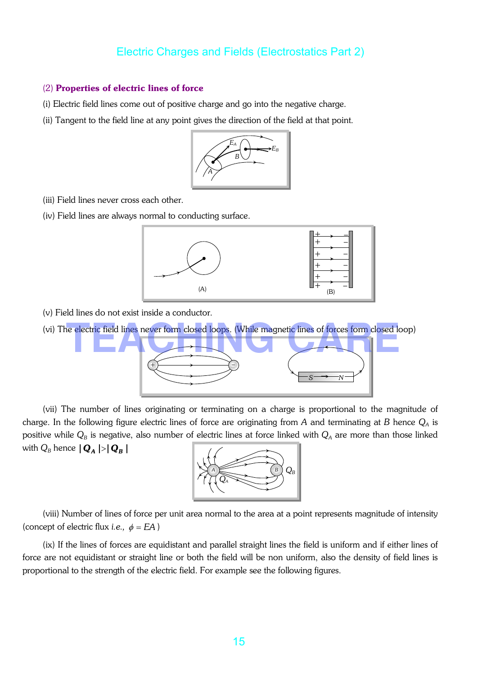#### (2) Properties of electric lines of force

- (i) Electric field lines come out of positive charge and go into the negative charge.
- (ii) Tangent to the field line at any point gives the direction of the field at that point.



- (iii) Field lines never cross each other.
- (iv) Field lines are always normal to conducting surface.



- (v) Field lines do not exist inside a conductor.
- (vi) The electric field lines never form closed loops. (While magnetic lines of forces form closed loop)



(vii) The number of lines originating or terminating on a charge is proportional to the magnitude of charge. In the following figure electric lines of force are originating from *A* and terminating at *B* hence *Q<sup>A</sup>* is positive while  $Q_B$  is negative, also number of electric lines at force linked with  $Q_A$  are more than those linked with  $Q_B$  hence  $|\mathbf{Q}_A|$  >  $|\mathbf{Q}_B|$ 



(viii) Number of lines of force per unit area normal to the area at a point represents magnitude of intensity (concept of electric flux *i.e.*,  $\phi = EA$ )

(ix) If the lines of forces are equidistant and parallel straight lines the field is uniform and if either lines of force are not equidistant or straight line or both the field will be non uniform, also the density of field lines is proportional to the strength of the electric field. For example see the following figures.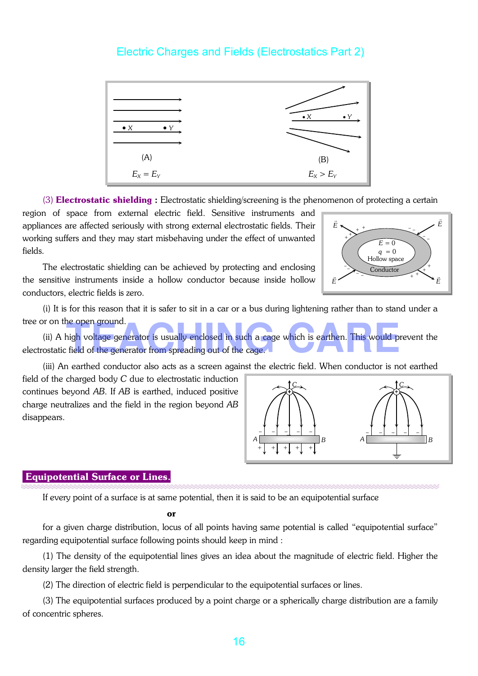

(3) **Electrostatic shielding**: Electrostatic shielding/screening is the phenomenon of protecting a certain

region of space from external electric field. Sensitive instruments and appliances are affected seriously with strong external electrostatic fields. Their working suffers and they may start misbehaving under the effect of unwanted fields.

The electrostatic shielding can be achieved by protecting and enclosing the sensitive instruments inside a hollow conductor because inside hollow conductors, electric fields is zero.



(i) It is for this reason that it is safer to sit in a car or a bus during lightening rather than to stand under a tree or on the open ground.

(ii) A high voltage generator is usually enclosed in such a cage which is earthen. This would prevent the electrostatic field of the generator from spreading out of the cage. The open ground.<br>This would prevent is usually enclosed in such a cage which is earthen. This would preventied of the generator from spreading out of the cage.

(iii) An earthed conductor also acts as a screen against the electric field. When conductor is not earthed

field of the charged body *C* due to electrostatic induction continues beyond *AB*. If *AB* is earthed, induced positive charge neutralizes and the field in the region beyond *AB* disappears.



#### Equipotential Surface or Lines.

If every point of a surface is at same potential, then it is said to be an equipotential surface

#### **or** *or*

for a given charge distribution, locus of all points having same potential is called "equipotential surface" regarding equipotential surface following points should keep in mind :

(1) The density of the equipotential lines gives an idea about the magnitude of electric field. Higher the density larger the field strength.

(2) The direction of electric field is perpendicular to the equipotential surfaces or lines.

(3) The equipotential surfaces produced by a point charge or a spherically charge distribution are a family of concentric spheres.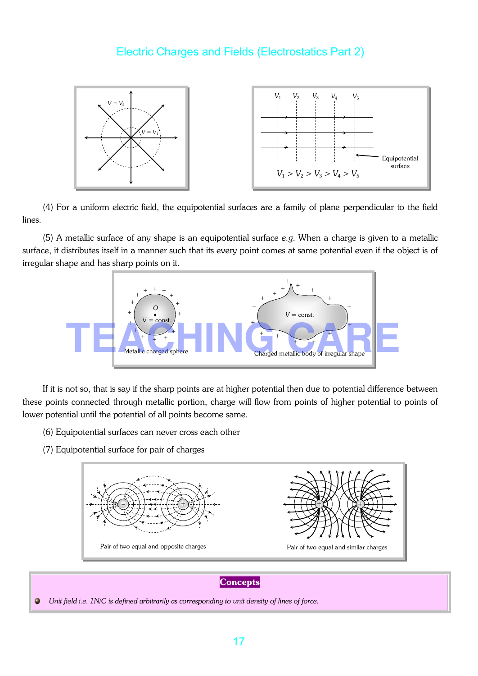

(4) For a uniform electric field, the equipotential surfaces are a family of plane perpendicular to the field lines.

(5) A metallic surface of any shape is an equipotential surface *e.g*. When a charge is given to a metallic surface, it distributes itself in a manner such that its every point comes at same potential even if the object is of irregular shape and has sharp points on it.



If it is not so, that is say if the sharp points are at higher potential then due to potential difference between these points connected through metallic portion, charge will flow from points of higher potential to points of lower potential until the potential of all points become same.

- (6) Equipotential surfaces can never cross each other
- (7) Equipotential surface for pair of charges



**Concepts** 

 $\bullet$ *Unit field i.e. 1N/C is defined arbitrarily as corresponding to unit density of lines of force.*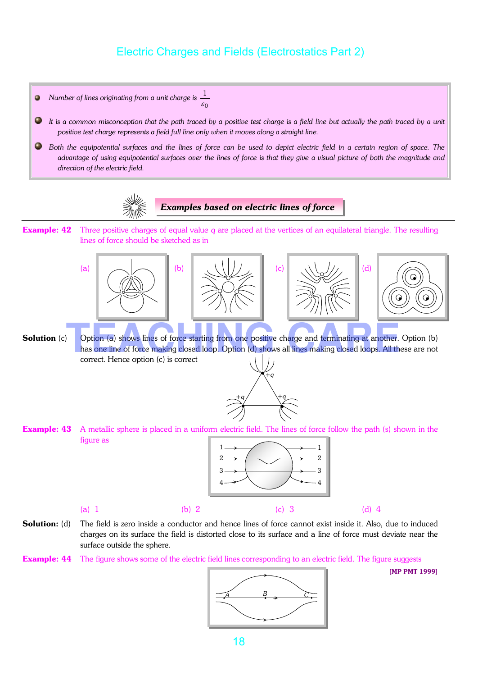- 1  $\bullet$ *Number of lines originating from a unit charge is*  ε  $\boldsymbol{0}$  $\bullet$ *It is a common misconception that the path traced by a positive test charge is a field line but actually the path traced by a unit positive test charge represents a field full line only when it moves along a straight line.* 0 *Both the equipotential surfaces and the lines of force can be used to depict electric field in a certain region of space. The advantage of using equipotential surfaces over the lines of force is that they give a visual picture of both the magnitude and direction of the electric field. Examples based on electric lines of force* Example: 42 Three positive charges of equal value *q* are placed at the vertices of an equilateral triangle. The resulting lines of force should be sketched as in (a)  $\|\hspace{.08cm} \bigwedge \hspace{.08cm} \|$  (b)  $\|\hspace{.08cm} \setminus \setminus \setminus |$   $\rangle$  ,  $\|\hspace{.08cm}$  (c)  $\|\hspace{.08cm} \setminus \setminus \setminus |$   $\rangle$   $\angle$  (d) •
- **Solution** (c) Option (a) shows lines of force starting from one positive charge and terminating at another. Option (b) has one line of force making closed loop. Option (d) shows all lines making closed loops. All these are not correct. Hence option (c) is correct Option (a) shows lines of force starting from one positive charge and terminating at another. Op<br>has one line of force making closed loop. Option (d) shows all lines making closed loops. All these
	- $\overrightarrow{ }$ +*q* +*q* +*q*
- **Example: 43** A metallic sphere is placed in a uniform electric field. The lines of force follow the path (s) shown in the figure as



- **Solution:** (d) The field is zero inside a conductor and hence lines of force cannot exist inside it. Also, due to induced charges on its surface the field is distorted close to its surface and a line of force must deviate near the surface outside the sphere.
- **Example: 44** The figure shows some of the electric field lines corresponding to an electric field. The figure suggests



[MP PMT 1999]

•

•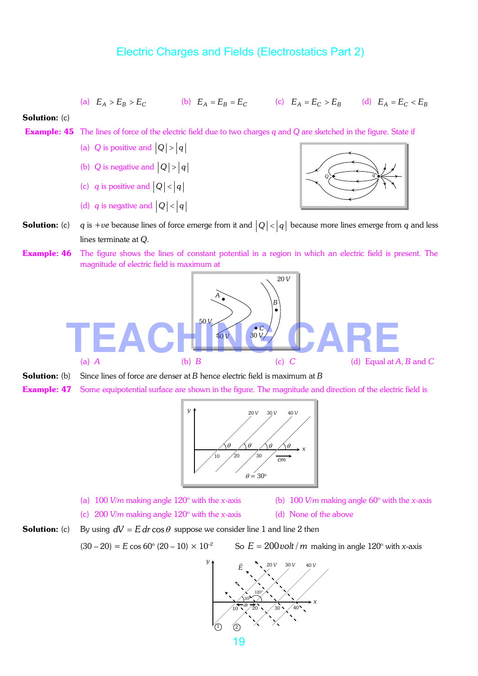(a) 
$$
E_A > E_B > E_C
$$
 (b)  $E_A = E_B = E_C$  (c)  $E_A = E_C > E_B$  (d)  $E_A = E_C < E_B$   
\n**Solution:** (c)  
\n**Example:** 45 The lines of force of the electric field due to two charges *q* and *Q* are sketched in the figure. State if  
\n(a) *Q* is positive and  $|Q| > |q|$   
\n(b) *Q* is negative and  $|Q| > |q|$   
\n(c) *q* is positive and  $|Q| < |q|$   
\n(d) *q* is negative and  $|Q| < |q|$   
\n**Solution:** (c) *q* is +ve because lines of force emerge from it and  $|Q| < |q|$  because more lines emerge from *q* and less lines terminate at *Q*.  
\n**Example:** 46 The figure shows the lines of constant potential in a region in which an electric field is present. The magnitude of electric field is maximum at  $\frac{a}{\sqrt{q}}$ .  
\n(a) *A*  
\n**Solution:** (b) Since lines of force are denser at *B* hence electric field is maximum at *B*  
\n**Solution:** (c) *C*  
\n**Solution:** (d) Equal at *A*, *B* and *C*  
\n**Solution:** (e) Since lines of force are denser at *B* hence electric field is maximum at *B*  
\n**Example:** 47 Some equipotential surface are shown in the figure. The magnitude and direction of the electric field is



- 
- (a) 100 *V/m* making angle 120° with the *x*-axis (b) 100 *V/m* making angle 60° with the *x*-axis
- (c) 200 *V/m* making angle 120° with the *x*-axis (d) None of the above
- **Solution:** (c) By using  $dV = E dr \cos \theta$  suppose we consider line 1 and line 2 then

 $(30 - 20) = E \cos 60^{\circ} (20 - 10) \times 10^{-2}$ 

So  $E = 200$  *volt* / *m* making in angle 120° with *x*-axis

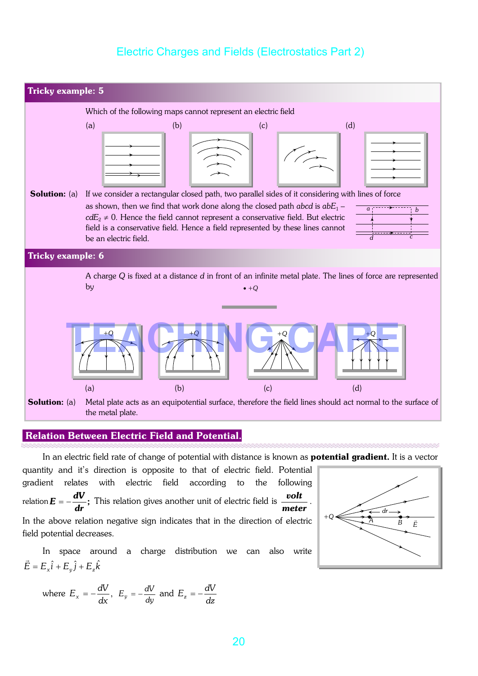

#### Relation Between Electric Field and Potential.

In an electric field rate of change of potential with distance is known as **potential gradient.** It is a vector

quantity and it's direction is opposite to that of electric field. Potential gradient relates with electric field according to the following relation  $\boldsymbol{E}=-\frac{\boldsymbol{\pi}\cdot\boldsymbol{\tau}}{\boldsymbol{\tau}}$ ; *dr*  $E = -\frac{dV}{dt}$ ; This relation gives another unit of electric field is *meter volt* . In the above relation negative sign indicates that in the direction of electric field potential decreases.

In space around a charge distribution we can also write  $\vec{E} = E_x \hat{i} + E_y \hat{j} + E_z \hat{k}$ 

where 
$$
E_x = -\frac{dV}{dx}
$$
,  $E_y = -\frac{dV}{dy}$  and  $E_z = -\frac{dV}{dz}$ 

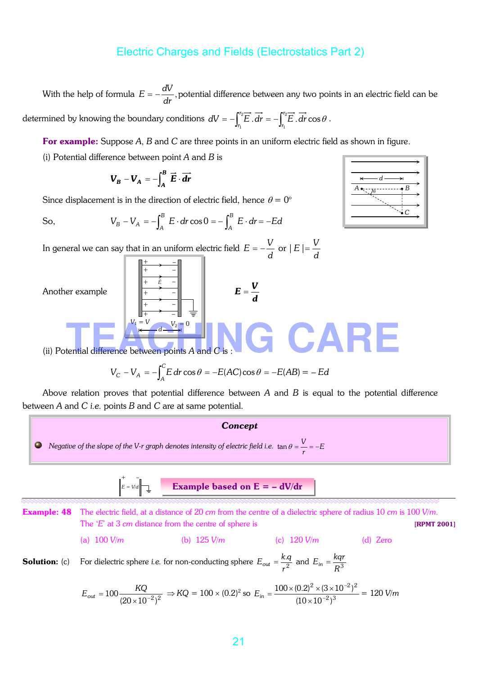With the help of formula  $E = -\frac{dv}{dt}$ , *dr*  $E = -\frac{dV}{dt}$ , potential difference between any two points in an electric field can be determined by knowing the boundary conditions  $dV = -\int_{r_1}^{r_2} \overline{E} \cdot d\overline{r} = -\int_{r_1}^{r_2}$ 1 2  $\int_{r_1}^{r_2} \overrightarrow{E} \cdot d\overrightarrow{r} = -\int_{r_1}^{r_2} \overrightarrow{E} \cdot d\overrightarrow{r} \cos$ *r r*  $dV = -\int_{r_1}^{r} E \cdot dr = -\int_{r_1}^{r} E \cdot dr \cos \theta$ .

For example: Suppose *A*, *B* and *C* are three points in an uniform electric field as shown in figure.

(i) Potential difference between point *A* and *B* is

$$
\boldsymbol{V}_B - \boldsymbol{V}_A = -\int_A^B \vec{E} \cdot \vec{dr}
$$

+ + + +  $+$ 

Since displacement is in the direction of electric field, hence  $\theta = 0^{\circ}$ 

So, 
$$
V_B - V_A = -\int_A^B E \cdot dr \cos 0 = -\int_A^B E \cdot dr = -Ed
$$

*E* 3

 $V_1 = V$   $V_2 = 0$ *d* 

In general we can say that in an uniform electric field *d*  $E = -\frac{V}{I}$  or *d*  $|E| = \frac{V}{I}$  $+$ –

> – – – – –

Another example

$$
E=\frac{V}{d}
$$



**TEACHING** 

(ii) Potential difference between points A and C

$$
V_C - V_A = -\int_A^C E dr \cos \theta = -E(AC) \cos \theta = -E(AB) = -Ed
$$

Above relation proves that potential difference between *A* and *B* is equal to the potential difference between *A* and *C i.e.* points *B* and *C* are at same potential.

#### *Concept*

 $\tan \theta = \frac{V}{V} = -$ 0 *Negative of the slope of the V-r graph denotes intensity of electric field i.e.*  $\tan \theta = \frac{v}{r} = -E$ 



Example: 48 The electric field, at a distance of 20 *cm* from the centre of a dielectric sphere of radius 10 *cm* is 100 *V/m*. The '*E*' at 3 *cm* distance from the centre of sphere is **[RPMT 2001]** (a) 100 *V/m* (b) 125 *V/m* (c) 120 *V/m* (d) Zero **Solution:** (c) For dielectric sphere *i.e.* for non-conducting sphere  $E_{out} = \frac{k}{r^2}$  $E_{out} = \frac{k.q}{r^2}$  and  $E_{in} = \frac{kqr}{R^3}$ 

$$
E_{out} = 100 \frac{KQ}{(20 \times 10^{-2})^2} \Rightarrow KQ = 100 \times (0.2)^2 \text{ so } E_{in} = \frac{100 \times (0.2)^2 \times (3 \times 10^{-2})^2}{(10 \times 10^{-2})^3} = 120 \text{ V/m}
$$

*r*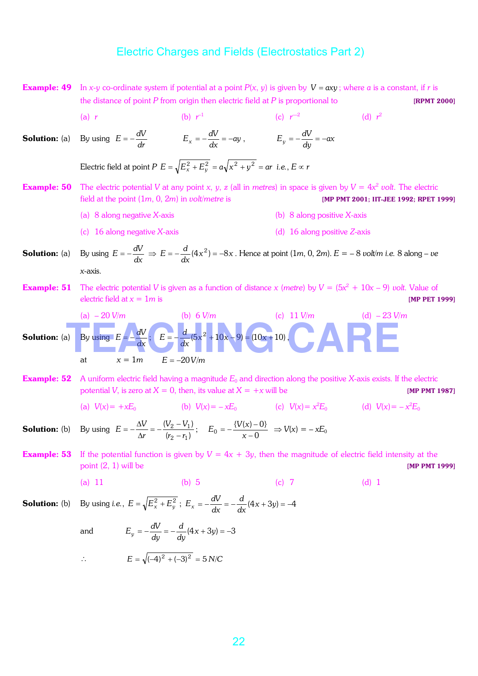**Example: 49** In *x*-*y* co-ordinate system if potential at a point  $P(x, y)$  is given by  $V = axy$ ; where *a* is a constant, if *r* is the distance of point *P* from origin then electric field at *P* is proportional to **[RPMT 2000]**  (a) *r* (b) *r*  $e^{-1}$  (c) *r* —2 (d)  $r^2$ **Solution:** (a)  $E = -\frac{dV}{dr}$   $E_x = -\frac{dV}{dx} = -ay$ ,  $E_y = -\frac{dV}{dy} = -ax$ Electric field at point  $P$   $E = \sqrt{E_x^2 + E_y^2} = a\sqrt{x^2 + y^2} = ar$  *i.e.*,  $E \propto r$ **Example: 50** The electric potential *V* at any point *x*, *y*, *z* (all in *metres*) in space is given by  $V = 4x^2$  *volt*. The electric field at the point (1*m*, 0, 2*m*) in *volt*/*metre* is [MP PMT 2001; IIT-JEE 1992; RPET 1999] (a) 8 along negative *X*-axis (b) 8 along positive *X*-axis (c) 16 along negative *X*-axis (d) 16 along positive *Z*-axis **Solution:** (a)  $E = -\frac{dV}{dx} \Rightarrow E = -\frac{d}{dx}(4x^2) = -8x$  $E = -\frac{d}{dt}(4x^2) = -8x$  . Hence at point  $(1m, 0, 2m)$ .  $E = -8$  *volt/m i.e.* 8 along – *ve x*-axis. **Example: 51** The electric potential *V* is given as a function of distance *x* (*metre*) by  $V = (5x^2 + 10x - 9)$  *volt*. Value of electric field at  $x = 1m$  is  $\blacksquare$  [MP PET 1999] (a) – 20 *V/m* (b) 6 *V/m* (c) 11 *V/m* (d) – 23 *V*/*m* **Solution:** (a) By using  $E = -\frac{dV}{dx}$ ;  $E = -\frac{d}{dx}(5x^2 + 10x - 9) = (10x + 10)$  $E = -\frac{d}{dx}(5x^2 + 10x - 9) = (10x + 10),$  $x = 1m$   $E = -20 V/m$ **Example: 52** A uniform electric field having a magnitude  $E_0$  and direction along the positive *X*-axis exists. If the electric potential *V*, is zero at  $X = 0$ , then, its value at  $X = +x$  will be [MP PMT 1987] (a)  $V(x) = +xE_0$ (b)  $V(x) = -xE_0$ (c)  $V(x) = x^2 E_0$  (d)  $V(x) = -x^2 E_0$ **Solution:** (b)  $(r_2 - r_1)$  $(V_2 - V_1)$  $2 - 1$  $r_2 - r$  $V^{}_{2}-V$ *r*  $E = -\frac{\Delta V}{\Delta r} = -\frac{(V_2 - V_1)^2}{(r_2 - V_2)^2}$  $\frac{\Delta V}{\Delta r} = -\frac{(V_2 - V_1)^2}{(r_2 - V_2)^2}$  $=-\frac{\Delta V}{i}=-\frac{(V_2-V_1)}{(4\pi)^3};$ 0  ${V(x)-0}$  $0 - \frac{1}{x - \frac{1}{x-1}}$  $=-\frac{\{V(x)$ *x*  $E_0 = -\frac{\{V(x) - 0\}}{V(x)} \Rightarrow V(x) = -xE_0$ **Example: 53** If the potential function is given by  $V = 4x + 3y$ , then the magnitude of electric field intensity at the point  $(2, 1)$  will be  $\blacksquare$  [MP PMT 1999] (a) 11 (b) 5 (c) 7 (d) 1 **Solution:** (b) By using *i.e.*,  $E = \sqrt{E_x^2 + E_y^2}$ ;  $E_x = -\frac{dv}{dx} = -\frac{d}{dx}(4x + 3y) = -4$ *d*  $E_x = -\frac{dV}{dx}$ and  $E_y = -\frac{dv}{dy} = -\frac{d}{dy}(4x+3y) = -3$ *d*  $E_y = -\frac{dV}{dy}$ ∴  $E = \sqrt{(-4)^2 + (-3)^2} = 5 N/C$ (a)  $-20 \text{ V/m}$  (b) 6 V/m (c) 11 V/m (d)  $-23 \text{ V/m}$ <br>
(b) 6 V/m (c) 11 V/m (d)  $-23 \text{ V/m}$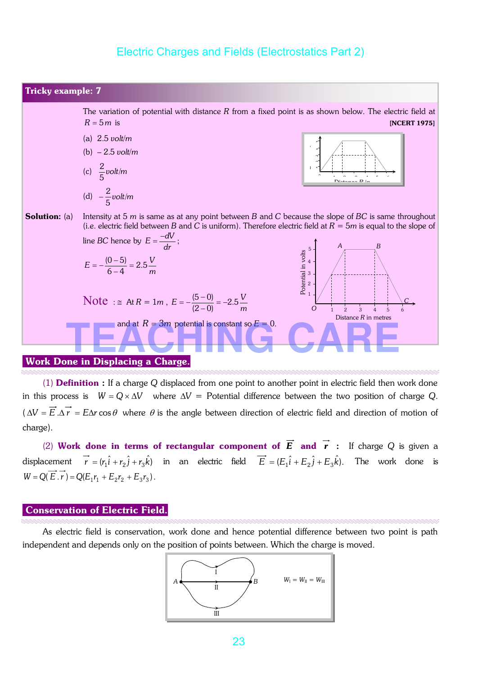

(1) Definition : If a charge *Q* displaced from one point to another point in electric field then work done in this process is  $W = Q \times \Delta V$  where  $\Delta V =$  Potential difference between the two position of charge *Q*.  $(\Delta V = \vec{E} \cdot \Delta \vec{r} = E\Delta r \cos\theta$  where  $\theta$  is the angle between direction of electric field and direction of motion of charge).

(2) Work done in terms of rectangular component of  $\vec{E}$  and  $\vec{r}$  : If charge Q is given a displacement  $\vec{r} = (r_1\hat{i} + r_2\hat{j} + r_3\hat{k})$  in an electric field  $\vec{E} = (E_1\hat{i} + E_2\hat{j} + E_3\hat{k})$ . The work done is  $W = Q(\overrightarrow{E} \cdot \overrightarrow{r}) = Q(E_1r_1 + E_2r_2 + E_3r_3).$ 

#### Conservation of Electric Field.

As electric field is conservation, work done and hence potential difference between two point is path independent and depends only on the position of points between. Which the charge is moved.

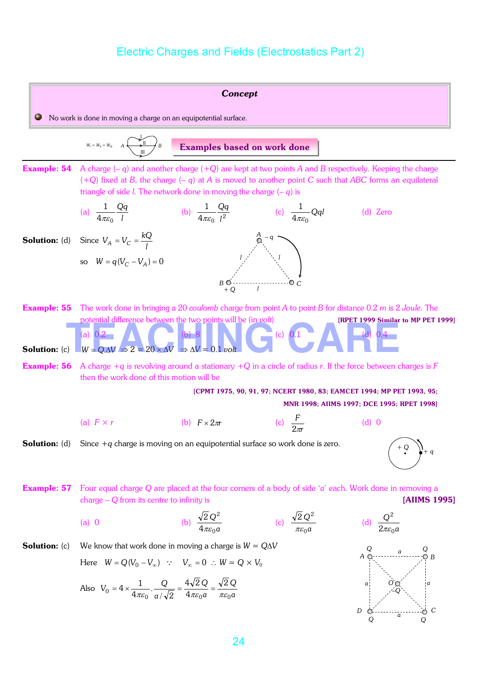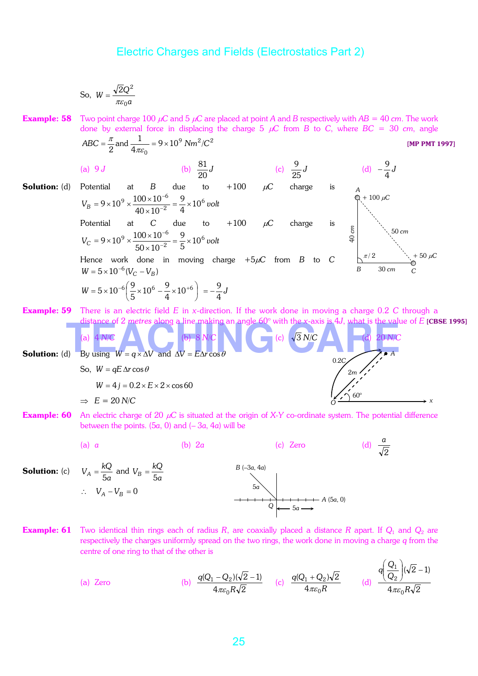So, 
$$
W = \frac{\sqrt{2}Q^2}{\pi \varepsilon_0 a}
$$

**Example: 58** Two point charge 100  $\mu$ C and 5  $\mu$ C are placed at point *A* and *B* respectively with *AB* = 40 *cm*. The work done by external force in displacing the charge 5  $\mu$ C from *B* to *C*, where *BC* = 30 *cm*, angle  $ABC = \frac{\pi}{2}$  and  $\frac{1}{4} = 9 \times 10^9$   $Nm^2/C^2$ [MP PMT 1997]

**Solution:** (d) Potential at B due to +100 
$$
\mu
$$
C charge is  
\n
$$
V_B = 9 \times 10^9 \times \frac{100 \times 10^{-6}}{40 \times 10^{-2}} = \frac{9}{4} \times 10^6 \text{ volt}
$$
\nPotential at C due to +100  $\mu$ C charge is  
\n
$$
V_C = 9 \times 10^9 \times \frac{100 \times 10^{-6}}{50 \times 10^{-2}} = \frac{9}{5} \times 10^6 \text{ volt}
$$
\nHence work done in moving charge +5 $\mu$ C from B to C  
\n
$$
W = 5 \times 10^{-6} (V_C - V_B)
$$
\n
$$
W = 5 \times 10^{-6} \left(\frac{9}{5} \times 10^6 - \frac{9}{4} \times 10^{+6}\right) = -\frac{9}{4}J
$$
\n**Example:** 59 There is an electric field E in x-direction. If the work done in moving charge 0.2 C through a

Example: 59 There is an electric field *E* in *x*-direction. If the work done in moving a charge 0.2 *C* through a



**Example: 60** An electric charge of 20  $\mu$ C is situated at the origin of X-Y co-ordinate system. The potential difference between the points. (5*a*, 0) and (– 3*a*, 4*a*) will be



Example: 61 Two identical thin rings each of radius *R*, are coaxially placed a distance *R* apart. If *Q*<sup>1</sup> and *Q*<sup>2</sup> are respectively the charges uniformly spread on the two rings, the work done in moving a charge *q* from the centre of one ring to that of the other is

(a) Zero (b) 
$$
\frac{q(Q_1 - Q_2)(\sqrt{2} - 1)}{4\pi\varepsilon_0 R \sqrt{2}}
$$
 (c)  $\frac{q(Q_1 + Q_2)\sqrt{2}}{4\pi\varepsilon_0 R}$  (d)  $\frac{q(\frac{Q_1}{Q_2})(\sqrt{2} - 1)}{4\pi\varepsilon_0 R \sqrt{2}}$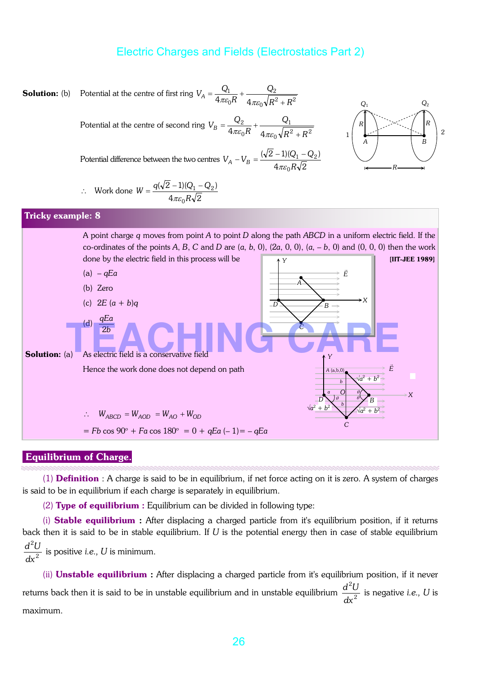

#### Equilibrium of Charge.

(1) **Definition** : A charge is said to be in equilibrium, if net force acting on it is zero. A system of charges is said to be in equilibrium if each charge is separately in equilibrium.

(2) Type of equilibrium : Equilibrium can be divided in following type:

(i) **Stable equilibrium** : After displacing a charged particle from it's equilibrium position, if it returns back then it is said to be in stable equilibrium. If *U* is the potential energy then in case of stable equilibrium 2 2 *dx*  $\frac{d^2U}{dx^2}$  is positive *i.e.*, *U* is minimum.

(ii) Unstable equilibrium : After displacing a charged particle from it's equilibrium position, if it never returns back then it is said to be in unstable equilibrium and in unstable equilibrium  $\frac{d}{dr^2}$ 2 *dx*  $\frac{d^2U}{dt^2}$  is negative *i.e.*, *U* is maximum.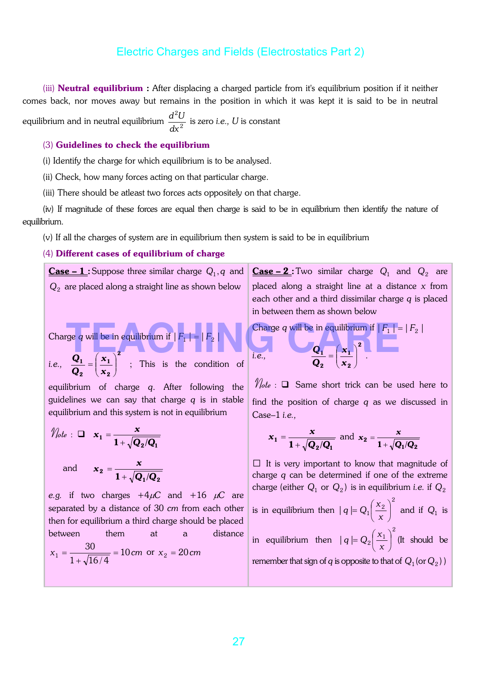(iii) **Neutral equilibrium** : After displacing a charged particle from it's equilibrium position if it neither comes back, nor moves away but remains in the position in which it was kept it is said to be in neutral equilibrium and in neutral equilibrium  $\frac{a}{dx^2}$ 2 *dx*  $\frac{d^2U}{dt^2}$  is zero *i.e.*, *U* is constant

#### (3) Guidelines to check the equilibrium

(i) Identify the charge for which equilibrium is to be analysed.

(ii) Check, how many forces acting on that particular charge.

(iii) There should be atleast two forces acts oppositely on that charge.

(iv) If magnitude of these forces are equal then charge is said to be in equilibrium then identify the nature of equilibrium.

(v) If all the charges of system are in equilibrium then system is said to be in equilibrium

#### (4) Different cases of equilibrium of charge

 $Case - 1$ :Suppose three similar charge  $Q_1, q$  and</u>  $\rm Q_2\,$  are placed along a straight line as shown below Charge  $q$  will be in equilibrium if  $\mid\! F_1 \!\mid\, = \mid\! F_2 \!\mid\, 1$ *i.e.,* 2 2 1 2  $\frac{1}{\mathbf{x}} = \left| \frac{\mathbf{x}_1}{\mathbf{x}_2} \right|$  $\bigg)$  $\setminus$  $\overline{\phantom{a}}$  $\setminus$  $=\bigg($ *x x Q*  $\frac{Q_1}{Q_1} = \left(\frac{x_1}{x_1}\right)^7$ ; This is the condition of equilibrium of charge *q*. After following the guidelines we can say that charge *q* is in stable equilibrium and this system is not in equilibrium  $\mathscr{V}_{\textit{lot}}$ *x i.e., Q Q* Case–1 *i.e.,* The contract of the contract of the contract of the contract of the contract of the contract of the contract of the contract of the contract of the contract of the contract of the contract of the contract of the contract

$$
u_e : \Box x_1 = \frac{x}{1 + \sqrt{Q_2/Q_1}}
$$
  
and 
$$
x_2 = \frac{x}{1 + \sqrt{Q_1/Q_2}}
$$

*e.g.* if two charges  $+4\mu$ C and  $+16 \mu$ C are separated by a distance of 30 *cm* from each other then for equilibrium a third charge should be placed between them at a distance  $x_1 = \frac{98}{\sqrt{134}} = 10 \text{ cm}$  $1+\sqrt{16/4}$  $x_1 = \frac{30}{1 + \sqrt{16/4}} = 10$  cm or  $x_2 = 20$  cm

 $\frac{\text{Case}-2}{\text{.}}$ : Two similar charge  $Q_1$  and  $Q_2$  are placed along a straight line at a distance *x* from each other and a third dissimilar charge *q* is placed in between them as shown below

Charge *q* will be in equilibrium if  $|F_1| = |F_2|$ 

$$
Q_1 = \left(\frac{x_1}{x_2}\right)^2.
$$

 $\mathcal{V}_{\text{ote}}$  :  $\square$  Same short trick can be used here to find the position of charge *q* as we discussed in

$$
x_1 = \frac{x}{1 + \sqrt{Q_2/Q_1}}
$$
 and  $x_2 = \frac{x}{1 + \sqrt{Q_1/Q_2}}$ 

 $\Box$  It is very important to know that magnitude of charge *q* can be determined if one of the extreme charge (either  $Q_1$  or  $Q_2$ ) is in equilibrium *i.e.* if  $Q_2$ 

is in equilibrium then 2  $|q| = Q_1 \frac{\lambda_2}{\mu}$  $\overline{\phantom{a}}$  $\left(\frac{x_2}{x_1}\right)$  $\overline{\mathcal{L}}$  $=Q_1$ *x*  $q \nvert Q_1 \left( \frac{x_2}{a} \right)^2$  and if  $Q_1$  is in equilibrium then 2  $|q| = Q_2 \frac{\lambda_1}{\mu}$  $\overline{\phantom{a}}$  $\left(\frac{x_1}{x_2}\right)$  $\overline{\phantom{a}}$  $=Q_{2}$ *x*  $q \models Q_2 \left( \frac{x_1}{x_1} \right)^2$  (It should be remember that sign of  $q$  is opposite to that of  $\,_1$  (or  $Q_2)$  )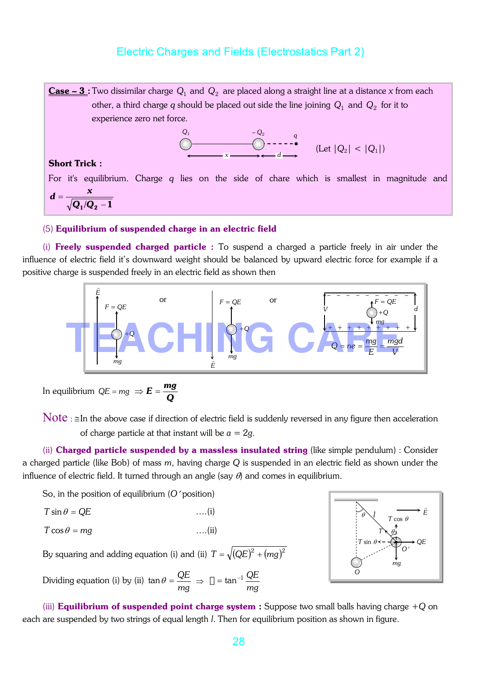$\frac{\textbf{Case}-\textbf{3}}{2}$ : Two dissimilar charge  $\,Q_1$  and  $\,Q_2\,$  are placed along a straight line at a distance  $x$  from each other, a third charge  $q$  should be placed out side the line joining  $\,_{1}$  and  $\,_{2}$  for it to experience zero net force.

$$
\bigcirc_{x \longrightarrow x}^{Q_1} \qquad \qquad \bigcirc_{x \longrightarrow y}^{Q_2} \qquad \qquad q \qquad \text{(Let } |Q_2| < |Q_1|)
$$

#### Short Trick :

For it's equilibrium. Charge *q* lies on the side of chare which is smallest in magnitude and  $_1/Q_2-1$ = *Q /Q*  $d = \frac{x}{\sqrt{1-x^2}}$ 

#### (5) Equilibrium of suspended charge in an electric field

(i) Freely suspended charged particle : To suspend a charged a particle freely in air under the influence of electric field it's downward weight should be balanced by upward electric force for example if a positive charge is suspended freely in an electric field as shown then



In equilibrium *QE* = *mg Q*  $\Rightarrow E = \frac{mg}{2}$ 

Note :  $\leq$ In the above case if direction of electric field is suddenly reversed in any figure then acceleration of charge particle at that instant will be  $a = 2g$ .

(ii) Charged particle suspended by a massless insulated string (like simple pendulum) : Consider a charged particle (like Bob) of mass *m*, having charge *Q* is suspended in an electric field as shown under the influence of electric field. It turned through an angle (say  $\theta$ ) and comes in equilibrium.

So, in the position of equilibrium (*O*′ position)

$$
T\sin\theta = QE
$$
 ... (i)

$$
T\cos\theta = mg \qquad \qquad \ldots (ii)
$$

By squaring and adding equation (i) and (ii)  $T = \sqrt{(QE)^2 + (mg)^2}$ 

Dividing equation (i) by (ii) *mg*  $\tan\theta = \frac{QE}{\sigma} \Rightarrow$ *mg*  $\square$  = tan $^{-1}$   $\overline{\rule{0pt}{1.5ex}QE}$ 

*QE E*  $\overline{a}$ θ θ *l mg*  $T$  sin  $\theta$ *T* cos θ *T O O*′

(iii) Equilibrium of suspended point charge system : Suppose two small balls having charge +*Q* on each are suspended by two strings of equal length *l*. Then for equilibrium position as shown in figure.